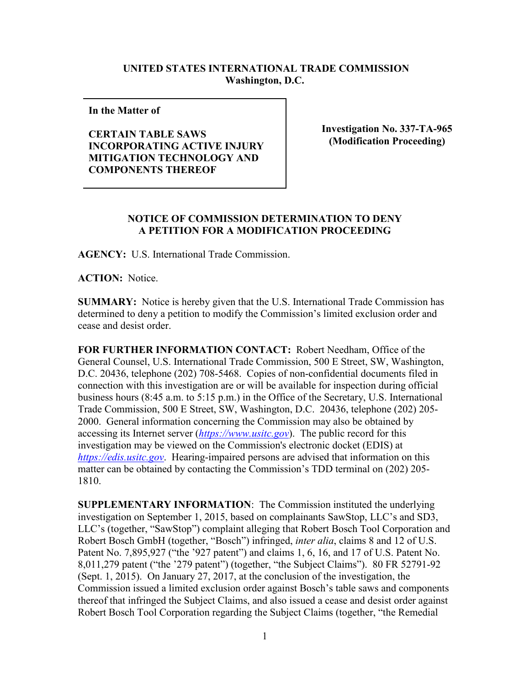## **UNITED STATES INTERNATIONAL TRADE COMMISSION Washington, D.C.**

**In the Matter of** 

**CERTAIN TABLE SAWS INCORPORATING ACTIVE INJURY MITIGATION TECHNOLOGY AND COMPONENTS THEREOF**

**Investigation No. 337-TA-965 (Modification Proceeding)**

## **NOTICE OF COMMISSION DETERMINATION TO DENY A PETITION FOR A MODIFICATION PROCEEDING**

**AGENCY:** U.S. International Trade Commission.

**ACTION:** Notice.

**SUMMARY:** Notice is hereby given that the U.S. International Trade Commission has determined to deny a petition to modify the Commission's limited exclusion order and cease and desist order.

**FOR FURTHER INFORMATION CONTACT:** Robert Needham, Office of the General Counsel, U.S. International Trade Commission, 500 E Street, SW, Washington, D.C. 20436, telephone (202) 708-5468. Copies of non-confidential documents filed in connection with this investigation are or will be available for inspection during official business hours (8:45 a.m. to 5:15 p.m.) in the Office of the Secretary, U.S. International Trade Commission, 500 E Street, SW, Washington, D.C. 20436, telephone (202) 205- 2000. General information concerning the Commission may also be obtained by accessing its Internet server (*[https://www.usitc.gov](https://www.usitc.gov/)*). The public record for this investigation may be viewed on the Commission's electronic docket (EDIS) at *[https://edis.usitc.gov](https://edis.usitc.gov/)*. Hearing-impaired persons are advised that information on this matter can be obtained by contacting the Commission's TDD terminal on (202) 205- 1810.

**SUPPLEMENTARY INFORMATION**: The Commission instituted the underlying investigation on September 1, 2015, based on complainants SawStop, LLC's and SD3, LLC's (together, "SawStop") complaint alleging that Robert Bosch Tool Corporation and Robert Bosch GmbH (together, "Bosch") infringed, *inter alia*, claims 8 and 12 of U.S. Patent No. 7,895,927 ("the '927 patent") and claims 1, 6, 16, and 17 of U.S. Patent No. 8,011,279 patent ("the '279 patent") (together, "the Subject Claims"). 80 FR 52791-92 (Sept. 1, 2015). On January 27, 2017, at the conclusion of the investigation, the Commission issued a limited exclusion order against Bosch's table saws and components thereof that infringed the Subject Claims, and also issued a cease and desist order against Robert Bosch Tool Corporation regarding the Subject Claims (together, "the Remedial